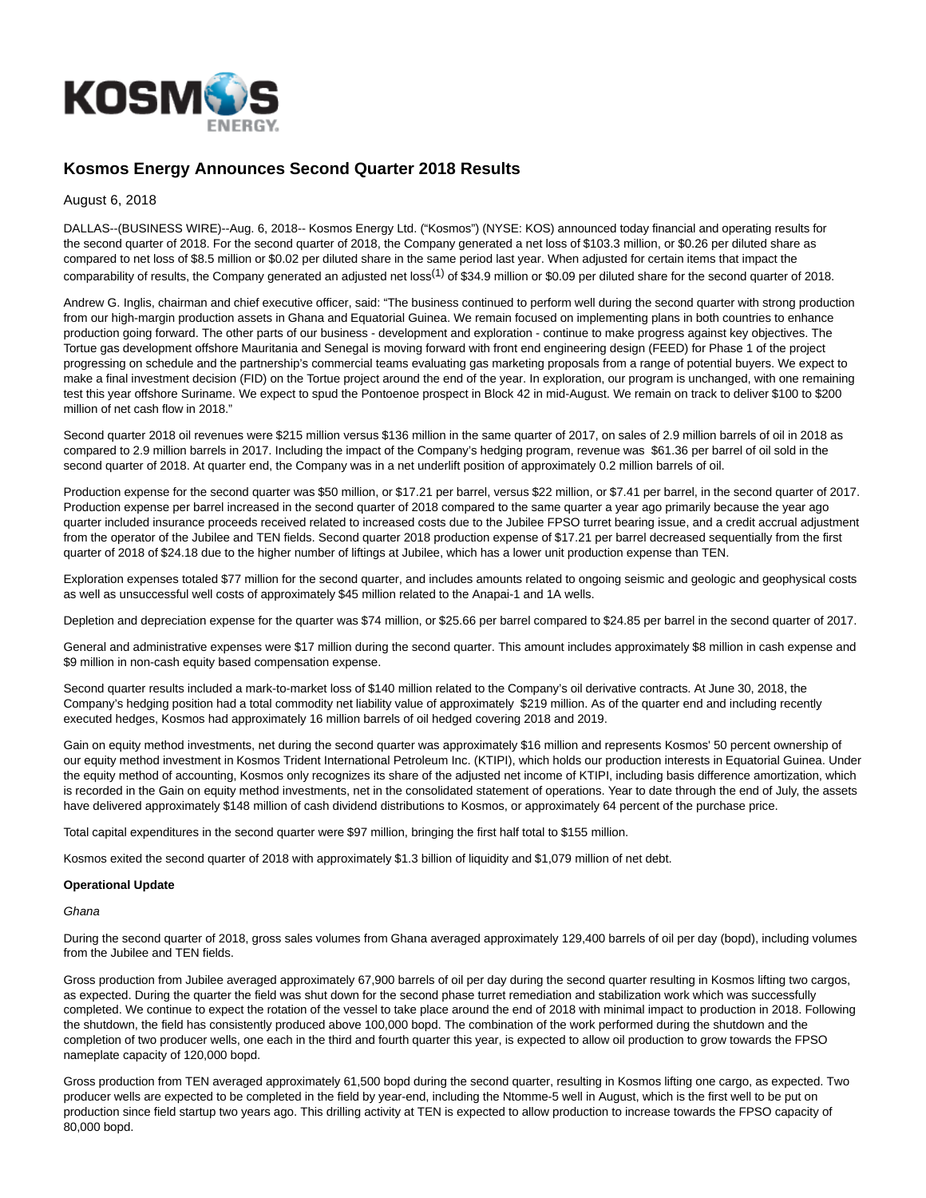

# **Kosmos Energy Announces Second Quarter 2018 Results**

## August 6, 2018

DALLAS--(BUSINESS WIRE)--Aug. 6, 2018-- Kosmos Energy Ltd. ("Kosmos") (NYSE: KOS) announced today financial and operating results for the second quarter of 2018. For the second quarter of 2018, the Company generated a net loss of \$103.3 million, or \$0.26 per diluted share as compared to net loss of \$8.5 million or \$0.02 per diluted share in the same period last year. When adjusted for certain items that impact the comparability of results, the Company generated an adjusted net loss<sup>(1)</sup> of \$34.9 million or \$0.09 per diluted share for the second quarter of 2018.

Andrew G. Inglis, chairman and chief executive officer, said: "The business continued to perform well during the second quarter with strong production from our high-margin production assets in Ghana and Equatorial Guinea. We remain focused on implementing plans in both countries to enhance production going forward. The other parts of our business - development and exploration - continue to make progress against key objectives. The Tortue gas development offshore Mauritania and Senegal is moving forward with front end engineering design (FEED) for Phase 1 of the project progressing on schedule and the partnership's commercial teams evaluating gas marketing proposals from a range of potential buyers. We expect to make a final investment decision (FID) on the Tortue project around the end of the year. In exploration, our program is unchanged, with one remaining test this year offshore Suriname. We expect to spud the Pontoenoe prospect in Block 42 in mid-August. We remain on track to deliver \$100 to \$200 million of net cash flow in 2018."

Second quarter 2018 oil revenues were \$215 million versus \$136 million in the same quarter of 2017, on sales of 2.9 million barrels of oil in 2018 as compared to 2.9 million barrels in 2017. Including the impact of the Company's hedging program, revenue was \$61.36 per barrel of oil sold in the second quarter of 2018. At quarter end, the Company was in a net underlift position of approximately 0.2 million barrels of oil.

Production expense for the second quarter was \$50 million, or \$17.21 per barrel, versus \$22 million, or \$7.41 per barrel, in the second quarter of 2017. Production expense per barrel increased in the second quarter of 2018 compared to the same quarter a year ago primarily because the year ago quarter included insurance proceeds received related to increased costs due to the Jubilee FPSO turret bearing issue, and a credit accrual adjustment from the operator of the Jubilee and TEN fields. Second quarter 2018 production expense of \$17.21 per barrel decreased sequentially from the first quarter of 2018 of \$24.18 due to the higher number of liftings at Jubilee, which has a lower unit production expense than TEN.

Exploration expenses totaled \$77 million for the second quarter, and includes amounts related to ongoing seismic and geologic and geophysical costs as well as unsuccessful well costs of approximately \$45 million related to the Anapai-1 and 1A wells.

Depletion and depreciation expense for the quarter was \$74 million, or \$25.66 per barrel compared to \$24.85 per barrel in the second quarter of 2017.

General and administrative expenses were \$17 million during the second quarter. This amount includes approximately \$8 million in cash expense and \$9 million in non-cash equity based compensation expense.

Second quarter results included a mark-to-market loss of \$140 million related to the Company's oil derivative contracts. At June 30, 2018, the Company's hedging position had a total commodity net liability value of approximately \$219 million. As of the quarter end and including recently executed hedges, Kosmos had approximately 16 million barrels of oil hedged covering 2018 and 2019.

Gain on equity method investments, net during the second quarter was approximately \$16 million and represents Kosmos' 50 percent ownership of our equity method investment in Kosmos Trident International Petroleum Inc. (KTIPI), which holds our production interests in Equatorial Guinea. Under the equity method of accounting, Kosmos only recognizes its share of the adjusted net income of KTIPI, including basis difference amortization, which is recorded in the Gain on equity method investments, net in the consolidated statement of operations. Year to date through the end of July, the assets have delivered approximately \$148 million of cash dividend distributions to Kosmos, or approximately 64 percent of the purchase price.

Total capital expenditures in the second quarter were \$97 million, bringing the first half total to \$155 million.

Kosmos exited the second quarter of 2018 with approximately \$1.3 billion of liquidity and \$1,079 million of net debt.

#### **Operational Update**

#### Ghana

During the second quarter of 2018, gross sales volumes from Ghana averaged approximately 129,400 barrels of oil per day (bopd), including volumes from the Jubilee and TEN fields.

Gross production from Jubilee averaged approximately 67,900 barrels of oil per day during the second quarter resulting in Kosmos lifting two cargos, as expected. During the quarter the field was shut down for the second phase turret remediation and stabilization work which was successfully completed. We continue to expect the rotation of the vessel to take place around the end of 2018 with minimal impact to production in 2018. Following the shutdown, the field has consistently produced above 100,000 bopd. The combination of the work performed during the shutdown and the completion of two producer wells, one each in the third and fourth quarter this year, is expected to allow oil production to grow towards the FPSO nameplate capacity of 120,000 bopd.

Gross production from TEN averaged approximately 61,500 bopd during the second quarter, resulting in Kosmos lifting one cargo, as expected. Two producer wells are expected to be completed in the field by year-end, including the Ntomme-5 well in August, which is the first well to be put on production since field startup two years ago. This drilling activity at TEN is expected to allow production to increase towards the FPSO capacity of 80,000 bopd.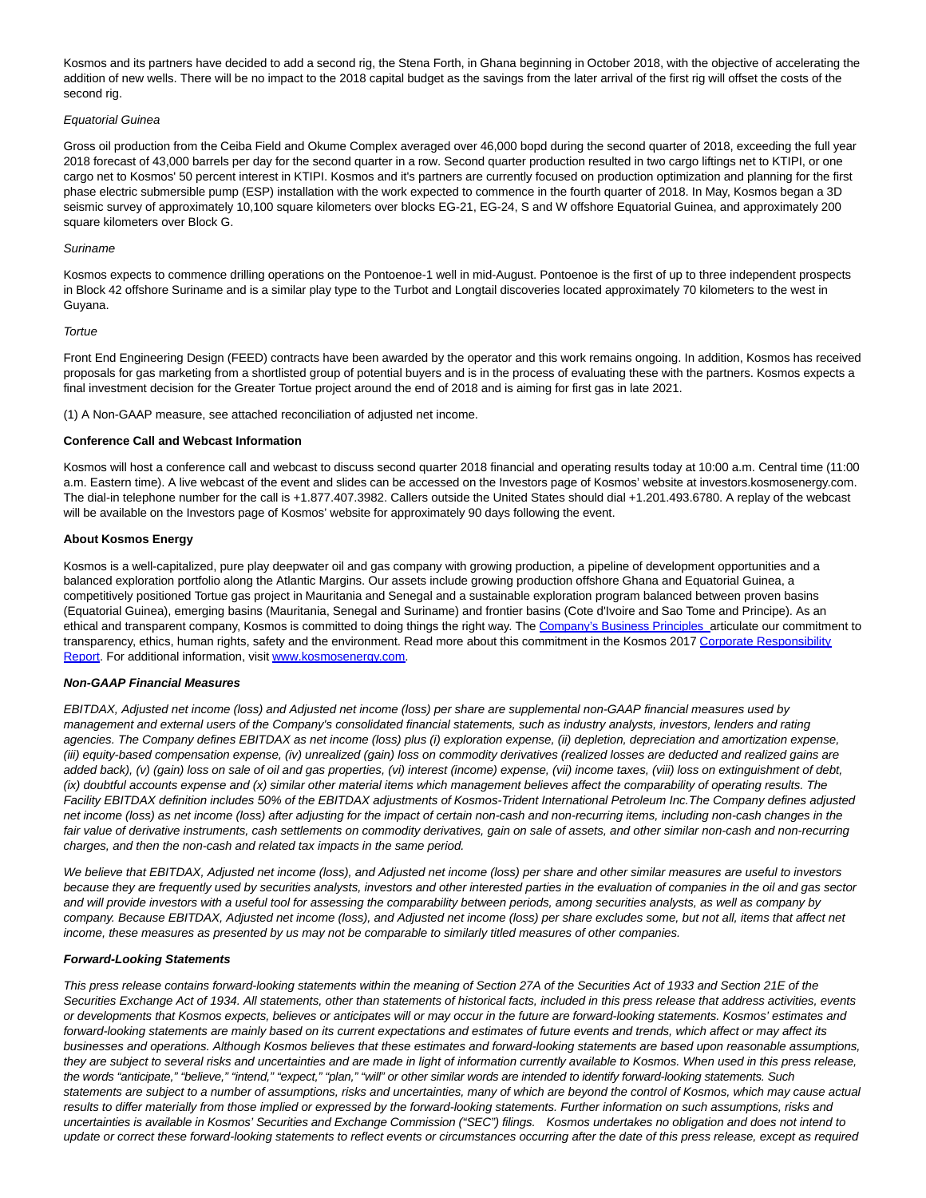Kosmos and its partners have decided to add a second rig, the Stena Forth, in Ghana beginning in October 2018, with the objective of accelerating the addition of new wells. There will be no impact to the 2018 capital budget as the savings from the later arrival of the first rig will offset the costs of the second rig.

## Equatorial Guinea

Gross oil production from the Ceiba Field and Okume Complex averaged over 46,000 bopd during the second quarter of 2018, exceeding the full year 2018 forecast of 43,000 barrels per day for the second quarter in a row. Second quarter production resulted in two cargo liftings net to KTIPI, or one cargo net to Kosmos' 50 percent interest in KTIPI. Kosmos and it's partners are currently focused on production optimization and planning for the first phase electric submersible pump (ESP) installation with the work expected to commence in the fourth quarter of 2018. In May, Kosmos began a 3D seismic survey of approximately 10,100 square kilometers over blocks EG-21, EG-24, S and W offshore Equatorial Guinea, and approximately 200 square kilometers over Block G.

## **Suriname**

Kosmos expects to commence drilling operations on the Pontoenoe-1 well in mid-August. Pontoenoe is the first of up to three independent prospects in Block 42 offshore Suriname and is a similar play type to the Turbot and Longtail discoveries located approximately 70 kilometers to the west in Guyana.

#### **Tortue**

Front End Engineering Design (FEED) contracts have been awarded by the operator and this work remains ongoing. In addition, Kosmos has received proposals for gas marketing from a shortlisted group of potential buyers and is in the process of evaluating these with the partners. Kosmos expects a final investment decision for the Greater Tortue project around the end of 2018 and is aiming for first gas in late 2021.

(1) A Non-GAAP measure, see attached reconciliation of adjusted net income.

#### **Conference Call and Webcast Information**

Kosmos will host a conference call and webcast to discuss second quarter 2018 financial and operating results today at 10:00 a.m. Central time (11:00 a.m. Eastern time). A live webcast of the event and slides can be accessed on the Investors page of Kosmos' website at investors.kosmosenergy.com. The dial-in telephone number for the call is +1.877.407.3982. Callers outside the United States should dial +1.201.493.6780. A replay of the webcast will be available on the Investors page of Kosmos' website for approximately 90 days following the event.

#### **About Kosmos Energy**

Kosmos is a well-capitalized, pure play deepwater oil and gas company with growing production, a pipeline of development opportunities and a balanced exploration portfolio along the Atlantic Margins. Our assets include growing production offshore Ghana and Equatorial Guinea, a competitively positioned Tortue gas project in Mauritania and Senegal and a sustainable exploration program balanced between proven basins (Equatorial Guinea), emerging basins (Mauritania, Senegal and Suriname) and frontier basins (Cote d'Ivoire and Sao Tome and Principe). As an ethical and transparent company, Kosmos is committed to doing things the right way. The [Company's Business Principles a](http://cts.businesswire.com/ct/CT?id=smartlink&url=http%3A%2F%2Fwww.kosmosenergy.com%2Findex.php%23business-principles-box&esheet=51848418&newsitemid=20180805005015&lan=en-US&anchor=Company%27s+Business+Principles%C2%A0&index=1&md5=d2e34fb27db14d37b2197f49512bba1e)rticulate our commitment to transparency, ethics, human rights, safety and the environment. Read more about this commitment in the Kosmos 2017 [Corporate Responsibility](http://cts.businesswire.com/ct/CT?id=smartlink&url=http%3A%2F%2Fwww.kosmosenergy.com%2Fresponsibility%2Fpdf%2FKM2692017KosmosCRR.pdf&esheet=51848418&newsitemid=20180805005015&lan=en-US&anchor=Corporate+Responsibility+Report&index=2&md5=502c5eabaa370a96fe8a6057d8d5f994) Report. For additional information, visi[t www.kosmosenergy.com.](http://cts.businesswire.com/ct/CT?id=smartlink&url=http%3A%2F%2Fwww.kosmosenergy.com&esheet=51848418&newsitemid=20180805005015&lan=en-US&anchor=www.kosmosenergy.com&index=3&md5=a8534503e598791e5b380f8d8aa80d98)

# **Non-GAAP Financial Measures**

EBITDAX, Adjusted net income (loss) and Adjusted net income (loss) per share are supplemental non-GAAP financial measures used by management and external users of the Company's consolidated financial statements, such as industry analysts, investors, lenders and rating agencies. The Company defines EBITDAX as net income (loss) plus (i) exploration expense, (ii) depletion, depreciation and amortization expense, (iii) equity-based compensation expense, (iv) unrealized (gain) loss on commodity derivatives (realized losses are deducted and realized gains are added back), (v) (gain) loss on sale of oil and gas properties, (vi) interest (income) expense, (vii) income taxes, (viii) loss on extinguishment of debt, (ix) doubtful accounts expense and (x) similar other material items which management believes affect the comparability of operating results. The Facility EBITDAX definition includes 50% of the EBITDAX adjustments of Kosmos-Trident International Petroleum Inc.The Company defines adjusted net income (loss) as net income (loss) after adjusting for the impact of certain non-cash and non-recurring items, including non-cash changes in the fair value of derivative instruments, cash settlements on commodity derivatives, gain on sale of assets, and other similar non-cash and non-recurring charges, and then the non-cash and related tax impacts in the same period.

We believe that EBITDAX, Adjusted net income (loss), and Adjusted net income (loss) per share and other similar measures are useful to investors because they are frequently used by securities analysts, investors and other interested parties in the evaluation of companies in the oil and gas sector and will provide investors with a useful tool for assessing the comparability between periods, among securities analysts, as well as company by company. Because EBITDAX, Adjusted net income (loss), and Adjusted net income (loss) per share excludes some, but not all, items that affect net income, these measures as presented by us may not be comparable to similarly titled measures of other companies.

#### **Forward-Looking Statements**

This press release contains forward-looking statements within the meaning of Section 27A of the Securities Act of 1933 and Section 21E of the Securities Exchange Act of 1934. All statements, other than statements of historical facts, included in this press release that address activities, events or developments that Kosmos expects, believes or anticipates will or may occur in the future are forward-looking statements. Kosmos' estimates and forward-looking statements are mainly based on its current expectations and estimates of future events and trends, which affect or may affect its businesses and operations. Although Kosmos believes that these estimates and forward-looking statements are based upon reasonable assumptions, they are subject to several risks and uncertainties and are made in light of information currently available to Kosmos. When used in this press release, the words "anticipate," "believe," "intend," "expect," "plan," "will" or other similar words are intended to identify forward-looking statements. Such statements are subject to a number of assumptions, risks and uncertainties, many of which are beyond the control of Kosmos, which may cause actual results to differ materially from those implied or expressed by the forward-looking statements. Further information on such assumptions, risks and uncertainties is available in Kosmos' Securities and Exchange Commission ("SEC") filings. Kosmos undertakes no obligation and does not intend to update or correct these forward-looking statements to reflect events or circumstances occurring after the date of this press release, except as required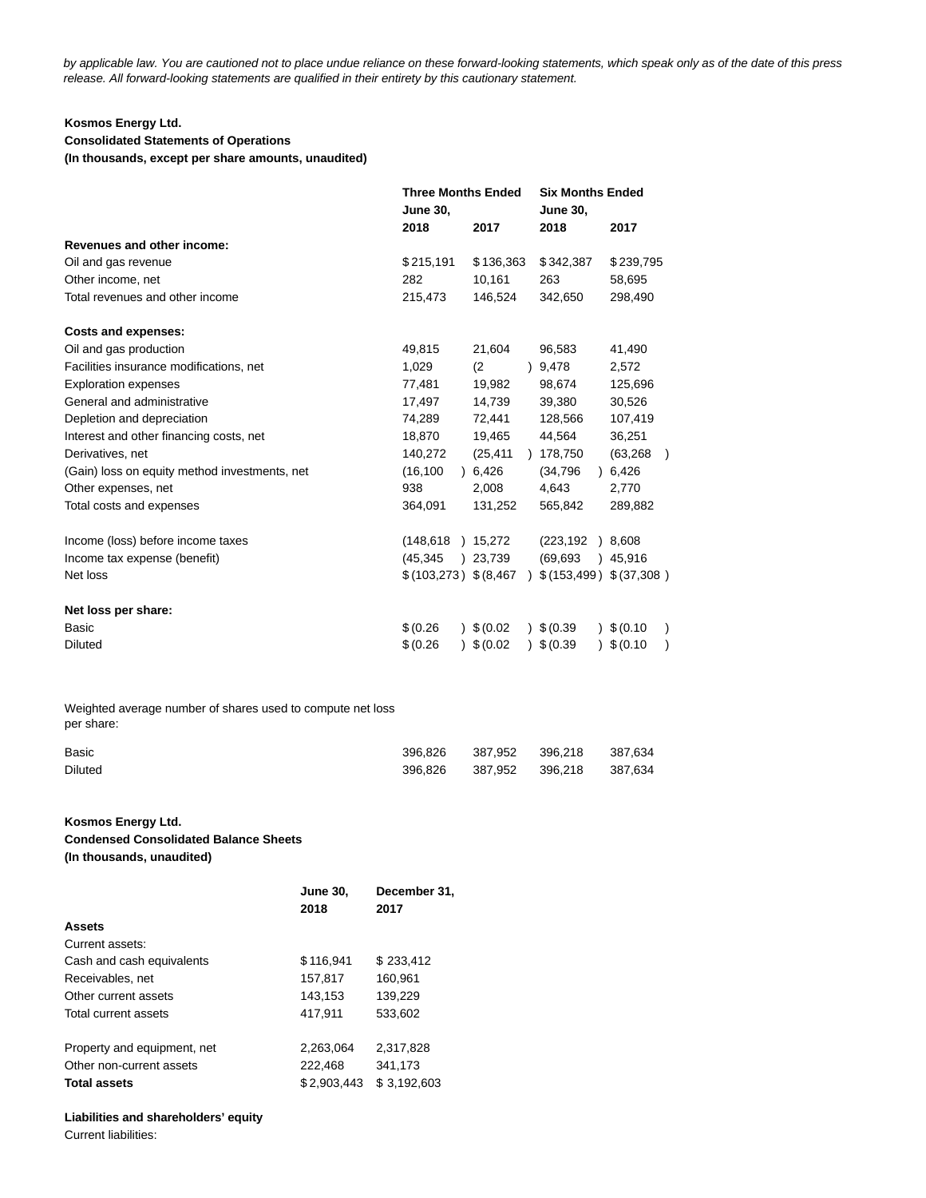by applicable law. You are cautioned not to place undue reliance on these forward-looking statements, which speak only as of the date of this press release. All forward-looking statements are qualified in their entirety by this cautionary statement.

## **Kosmos Energy Ltd.**

# **Consolidated Statements of Operations**

**(In thousands, except per share amounts, unaudited)**

|                                               | <b>Three Months Ended</b><br><b>June 30,</b> | <b>Six Months Ended</b><br><b>June 30,</b> |                            |                          |  |  |
|-----------------------------------------------|----------------------------------------------|--------------------------------------------|----------------------------|--------------------------|--|--|
|                                               | 2018                                         | 2017                                       | 2018                       | 2017                     |  |  |
| Revenues and other income:                    |                                              |                                            |                            |                          |  |  |
| Oil and gas revenue                           | \$215,191                                    | \$136,363                                  | \$342,387                  | \$239,795                |  |  |
| Other income, net                             | 282                                          | 10,161                                     | 263                        | 58,695                   |  |  |
| Total revenues and other income               | 215,473                                      | 146,524                                    | 342,650                    | 298,490                  |  |  |
| <b>Costs and expenses:</b>                    |                                              |                                            |                            |                          |  |  |
| Oil and gas production                        | 49,815                                       | 21,604                                     | 96,583                     | 41,490                   |  |  |
| Facilities insurance modifications, net       | 1,029                                        | (2)                                        | 9,478<br>$\lambda$         | 2,572                    |  |  |
| <b>Exploration expenses</b>                   | 77,481                                       | 19,982                                     | 98,674                     | 125,696                  |  |  |
| General and administrative                    | 17,497                                       | 14,739                                     | 39,380                     | 30,526                   |  |  |
| Depletion and depreciation                    | 74,289                                       | 72,441                                     | 128,566                    | 107,419                  |  |  |
| Interest and other financing costs, net       | 18,870                                       | 19.465                                     | 44,564                     | 36,251                   |  |  |
| Derivatives, net                              | 140,272                                      | (25, 411)                                  | 178,750                    | (63, 268)<br>$\lambda$   |  |  |
| (Gain) loss on equity method investments, net | (16, 100)                                    | 6,426                                      | (34, 796)                  | 6,426                    |  |  |
| Other expenses, net                           | 938                                          | 2,008                                      | 4,643                      | 2,770                    |  |  |
| Total costs and expenses                      | 364,091                                      | 131,252                                    | 565,842                    | 289,882                  |  |  |
| Income (loss) before income taxes             | (148, 618)<br>$\lambda$                      | 15,272                                     | (223, 192)                 | 8,608                    |  |  |
| Income tax expense (benefit)                  | (45, 345)<br>$\mathcal{L}$                   | 23,739                                     | (69, 693)                  | 45,916                   |  |  |
| Net loss                                      | \$ (103, 273) \$ (8, 467)                    |                                            |                            | $$(153,499)$ $$(37,308)$ |  |  |
| Net loss per share:                           |                                              |                                            |                            |                          |  |  |
| <b>Basic</b>                                  | \$ (0.26)                                    | $\frac{1}{2}$ \$ (0.02)                    | \$ (0.39)<br>$\mathcal{L}$ | 3(0.10)                  |  |  |
| <b>Diluted</b>                                | \$ (0.26)                                    | \$(0.02)                                   | \$ (0.39)                  | \$ (0.10)                |  |  |

Weighted average number of shares used to compute net loss per share:

| Basic          | 396.826 | 387.952 396.218 | 387.634 |
|----------------|---------|-----------------|---------|
| <b>Diluted</b> | 396.826 | 387.952 396.218 | 387.634 |

## **Kosmos Energy Ltd.**

**Condensed Consolidated Balance Sheets (In thousands, unaudited)**

|                             | <b>June 30,</b><br>2018 | December 31,<br>2017 |
|-----------------------------|-------------------------|----------------------|
| <b>Assets</b>               |                         |                      |
| Current assets:             |                         |                      |
| Cash and cash equivalents   | \$116,941               | \$233,412            |
| Receivables, net            | 157,817                 | 160,961              |
| Other current assets        | 143,153                 | 139,229              |
| Total current assets        | 417.911                 | 533.602              |
| Property and equipment, net | 2.263.064               | 2,317,828            |
| Other non-current assets    | 222,468                 | 341,173              |
| <b>Total assets</b>         | \$2.903.443             | \$3.192.603          |

## **Liabilities and shareholders' equity**

Current liabilities: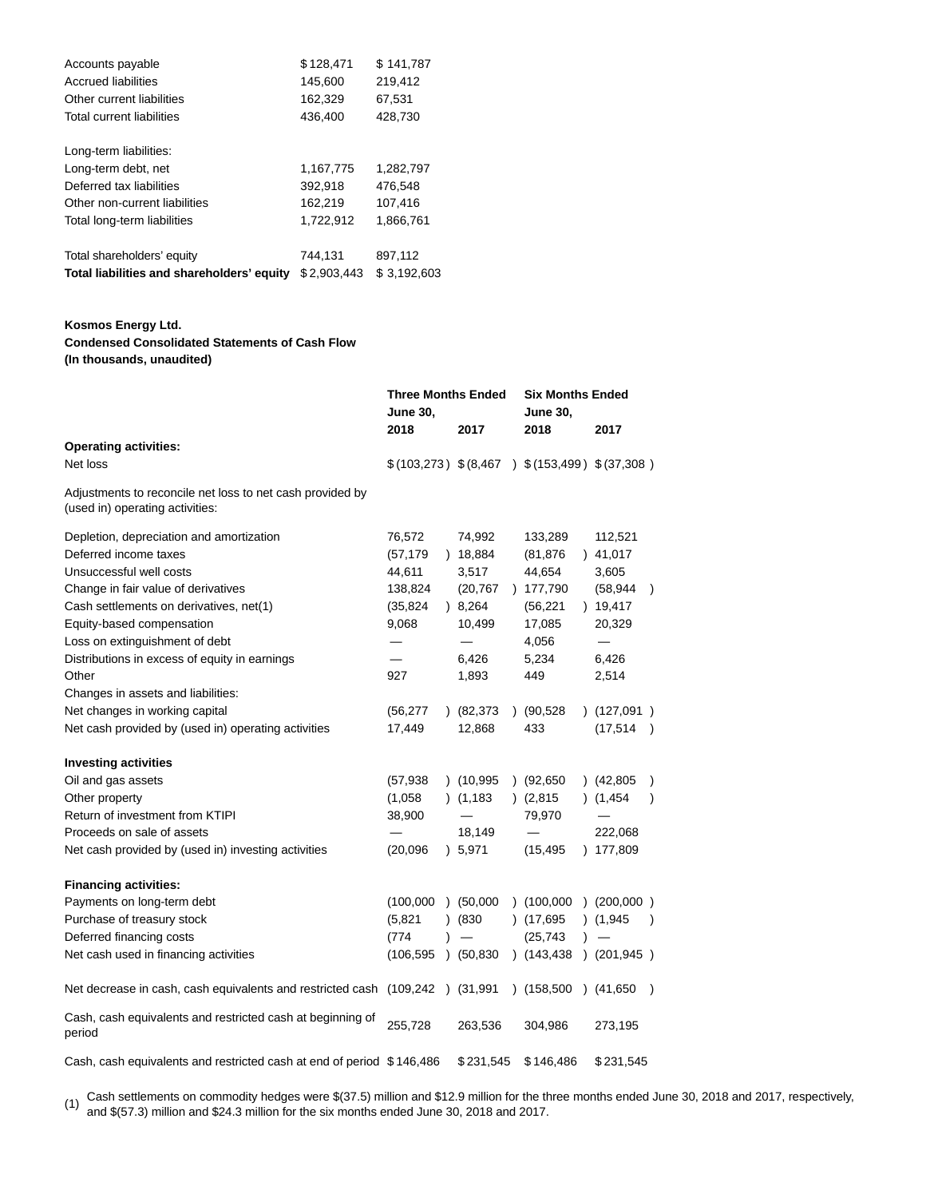| Accounts payable                           | \$128.471   | \$141.787   |
|--------------------------------------------|-------------|-------------|
| <b>Accrued liabilities</b>                 | 145,600     | 219,412     |
| Other current liabilities                  | 162,329     | 67,531      |
| Total current liabilities                  | 436,400     | 428,730     |
| Long-term liabilities:                     |             |             |
| Long-term debt, net                        | 1,167,775   | 1,282,797   |
| Deferred tax liabilities                   | 392,918     | 476.548     |
| Other non-current liabilities              | 162.219     | 107.416     |
| Total long-term liabilities                | 1.722.912   | 1.866.761   |
| Total shareholders' equity                 | 744,131     | 897,112     |
| Total liabilities and shareholders' equity | \$2,903,443 | \$3.192.603 |

# **Kosmos Energy Ltd.**

# **Condensed Consolidated Statements of Cash Flow (In thousands, unaudited)**

|                                                                                              | <b>Three Months Ended</b><br><b>June 30,</b> |           |                          | <b>Six Months Ended</b><br><b>June 30,</b> |            |               |                                                  |                  |
|----------------------------------------------------------------------------------------------|----------------------------------------------|-----------|--------------------------|--------------------------------------------|------------|---------------|--------------------------------------------------|------------------|
|                                                                                              | 2018                                         |           | 2017                     |                                            | 2018       |               | 2017                                             |                  |
| <b>Operating activities:</b>                                                                 |                                              |           |                          |                                            |            |               |                                                  |                  |
| Net loss                                                                                     |                                              |           |                          |                                            |            |               | $$(103,273)$ $$(8,467)$ $$(153,499)$ $$(37,308)$ |                  |
| Adjustments to reconcile net loss to net cash provided by<br>(used in) operating activities: |                                              |           |                          |                                            |            |               |                                                  |                  |
| Depletion, depreciation and amortization                                                     | 76,572                                       |           | 74,992                   |                                            | 133,289    |               | 112,521                                          |                  |
| Deferred income taxes                                                                        | (57, 179)                                    |           | ) 18,884                 |                                            | (81, 876)  |               | 41,017                                           |                  |
| Unsuccessful well costs                                                                      | 44,611                                       |           | 3,517                    |                                            | 44,654     |               | 3,605                                            |                  |
| Change in fair value of derivatives                                                          | 138,824                                      |           | (20, 767)                |                                            | ) 177,790  |               | (58, 944)                                        | $\left( \right)$ |
| Cash settlements on derivatives, net(1)                                                      | (35, 824)                                    |           | 8,264                    |                                            | (56, 221)  |               | ) 19,417                                         |                  |
| Equity-based compensation                                                                    | 9,068                                        |           | 10,499                   |                                            | 17,085     |               | 20,329                                           |                  |
| Loss on extinguishment of debt                                                               | $\overline{\phantom{0}}$                     |           | $\equiv$                 |                                            | 4,056      |               | $\equiv$                                         |                  |
| Distributions in excess of equity in earnings                                                |                                              |           | 6,426                    |                                            | 5,234      |               | 6,426                                            |                  |
| Other                                                                                        | 927                                          |           | 1,893                    |                                            | 449        |               | 2,514                                            |                  |
| Changes in assets and liabilities:                                                           |                                              |           |                          |                                            |            |               |                                                  |                  |
| Net changes in working capital                                                               | (56, 277)                                    |           | (82, 373)                |                                            | (90,528)   |               | (127,091)                                        |                  |
| Net cash provided by (used in) operating activities                                          | 17,449                                       |           | 12,868                   |                                            | 433        |               | (17, 514)                                        | $\rightarrow$    |
| <b>Investing activities</b>                                                                  |                                              |           |                          |                                            |            |               |                                                  |                  |
| Oil and gas assets                                                                           | (57, 938)                                    |           | (10, 995)                |                                            | (92,650)   |               | (42,805)                                         | $\lambda$        |
| Other property                                                                               | (1,058)                                      |           | (1, 183)                 |                                            | (2,815)    |               | (1, 454)                                         | $\lambda$        |
| Return of investment from KTIPI                                                              | 38,900                                       |           | $\overline{\phantom{0}}$ |                                            | 79,970     |               |                                                  |                  |
| Proceeds on sale of assets                                                                   |                                              |           | 18,149                   |                                            |            |               | 222,068                                          |                  |
| Net cash provided by (used in) investing activities                                          | (20,096)                                     |           | ) 5,971                  |                                            | (15, 495)  |               | ) 177,809                                        |                  |
| <b>Financing activities:</b>                                                                 |                                              |           |                          |                                            |            |               |                                                  |                  |
| Payments on long-term debt                                                                   | (100,000)                                    |           | (50,000)                 |                                            | (100,000)  |               | (200,000)                                        |                  |
| Purchase of treasury stock                                                                   | (5,821)                                      |           | (830)                    |                                            | (17,695)   |               | (1,945)                                          | $\lambda$        |
| Deferred financing costs                                                                     | (774)                                        | $\lambda$ | $\overline{\phantom{0}}$ |                                            | (25, 743)  | $\mathcal{E}$ |                                                  |                  |
| Net cash used in financing activities                                                        | (106, 595)                                   |           | (50, 830)                |                                            | (143, 438) |               | (201, 945)                                       |                  |
| Net decrease in cash, cash equivalents and restricted cash (109,242) (31,991                 |                                              |           |                          |                                            | (158,500)  |               | (41,650)                                         | $\rightarrow$    |
| Cash, cash equivalents and restricted cash at beginning of<br>period                         | 255,728                                      |           | 263,536                  |                                            | 304,986    |               | 273,195                                          |                  |
| Cash, cash equivalents and restricted cash at end of period \$146,486                        |                                              |           | \$231,545                |                                            | \$146,486  |               | \$231,545                                        |                  |

(1) Cash settlements on commodity hedges were \$(37.5) million and \$12.9 million for the three months ended June 30, 2018 and 2017, respectively,<br>(1) and \$(57.3) million and \$24.3 million for the six months ended June 30, 2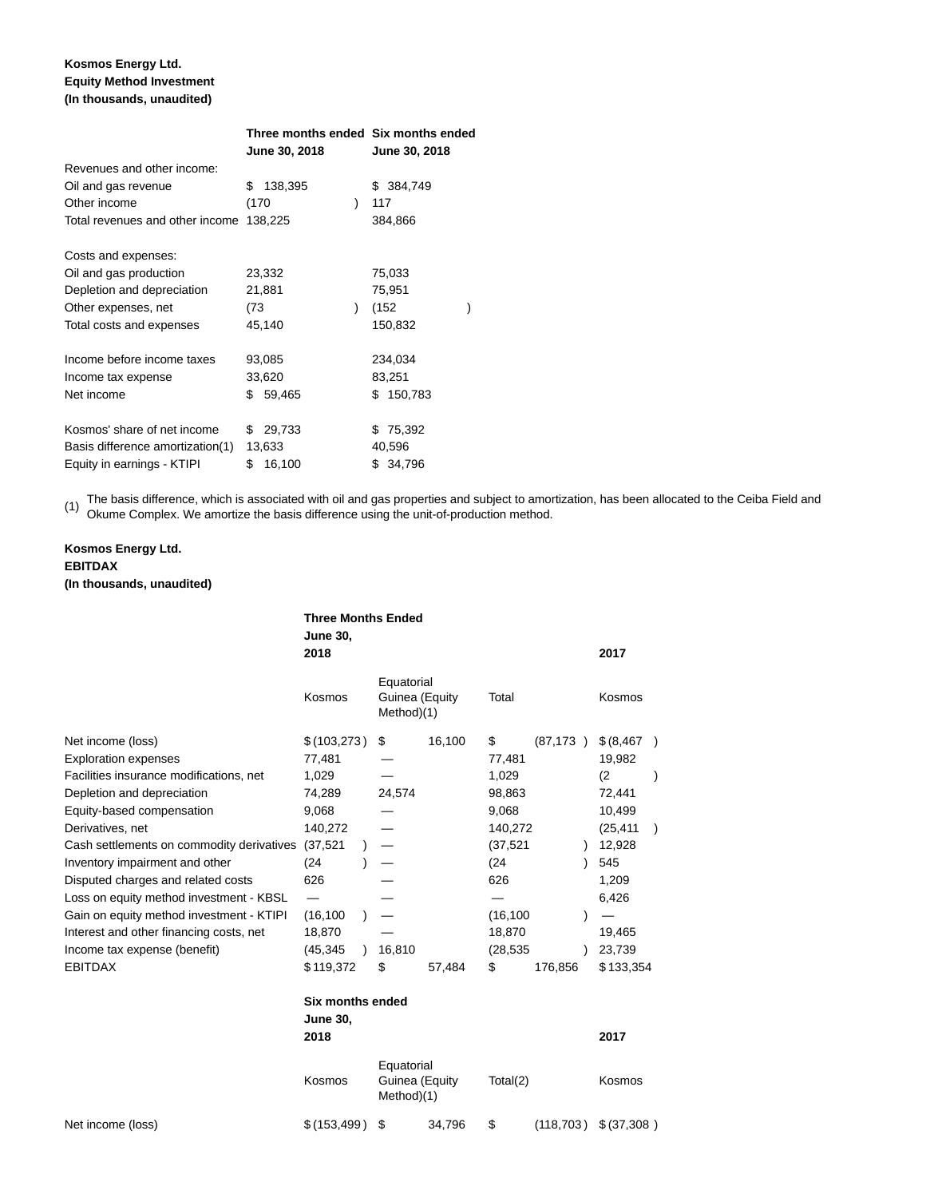# **Kosmos Energy Ltd. Equity Method Investment (In thousands, unaudited)**

|                                  | Three months ended Six months ended<br><b>June 30, 2018</b> |  | June 30, 2018 |  |
|----------------------------------|-------------------------------------------------------------|--|---------------|--|
| Revenues and other income:       |                                                             |  |               |  |
| Oil and gas revenue              | 138,395<br>S                                                |  | \$384,749     |  |
| Other income                     | (170)                                                       |  | 117           |  |
| Total revenues and other income  | 138,225                                                     |  | 384,866       |  |
| Costs and expenses:              |                                                             |  |               |  |
| Oil and gas production           | 23,332                                                      |  | 75,033        |  |
| Depletion and depreciation       | 21,881                                                      |  | 75,951        |  |
| Other expenses, net              | (73                                                         |  | (152          |  |
| Total costs and expenses         | 45,140                                                      |  | 150,832       |  |
| Income before income taxes       | 93,085                                                      |  | 234,034       |  |
| Income tax expense               | 33,620                                                      |  | 83,251        |  |
| Net income                       | 59,465<br>\$.                                               |  | \$150,783     |  |
| Kosmos' share of net income      | 29,733<br>\$.                                               |  | \$75,392      |  |
| Basis difference amortization(1) | 13,633                                                      |  | 40,596        |  |
| Equity in earnings - KTIPI       | \$<br>16,100                                                |  | \$34,796      |  |

(1) The basis difference, which is associated with oil and gas properties and subject to amortization, has been allocated to the Ceiba Field and<br>Okume Complex. We amortize the basis difference using the unit-of-production

# **Kosmos Energy Ltd. EBITDAX (In thousands, unaudited)**

|                                           | <b>Three Months Ended</b> |                                            |        |           |            |             |           |
|-------------------------------------------|---------------------------|--------------------------------------------|--------|-----------|------------|-------------|-----------|
|                                           | <b>June 30,</b><br>2018   |                                            |        |           |            | 2017        |           |
|                                           | Kosmos                    | Equatorial<br>Guinea (Equity<br>Method)(1) |        | Total     |            | Kosmos      |           |
| Net income (loss)                         | \$(103, 273)              | \$                                         | 16,100 | \$        | (87, 173)  | \$ (8, 467) |           |
| <b>Exploration expenses</b>               | 77,481                    |                                            |        | 77,481    |            | 19,982      |           |
| Facilities insurance modifications, net   | 1,029                     |                                            |        | 1,029     |            | (2)         |           |
| Depletion and depreciation                | 74,289                    | 24,574                                     |        | 98,863    |            | 72,441      |           |
| Equity-based compensation                 | 9,068                     |                                            |        | 9,068     |            | 10,499      |           |
| Derivatives, net                          | 140,272                   |                                            |        | 140,272   |            | (25, 411)   | $\lambda$ |
| Cash settlements on commodity derivatives | (37, 521)                 |                                            |        | (37, 521) |            | 12,928      |           |
| Inventory impairment and other            | (24)                      |                                            |        | (24)      |            | 545         |           |
| Disputed charges and related costs        | 626                       |                                            |        | 626       |            | 1,209       |           |
| Loss on equity method investment - KBSL   |                           |                                            |        |           |            | 6,426       |           |
| Gain on equity method investment - KTIPI  | (16, 100)                 |                                            |        | (16, 100) |            |             |           |
| Interest and other financing costs, net   | 18,870                    |                                            |        | 18,870    |            | 19,465      |           |
| Income tax expense (benefit)              | (45, 345)                 | 16,810                                     |        | (28, 535) |            | 23,739      |           |
| <b>EBITDAX</b>                            | \$119,372                 | \$                                         | 57,484 | \$        | 176,856    | \$133,354   |           |
|                                           | <b>Six months ended</b>   |                                            |        |           |            |             |           |
|                                           | <b>June 30,</b>           |                                            |        |           |            |             |           |
|                                           | 2018                      |                                            |        |           |            | 2017        |           |
|                                           | Kosmos                    | Equatorial<br>Guinea (Equity<br>Method)(1) |        | Total(2)  |            | Kosmos      |           |
| Net income (loss)                         | \$(153, 499)              | \$                                         | 34,796 | \$        | (118, 703) | \$ (37,308) |           |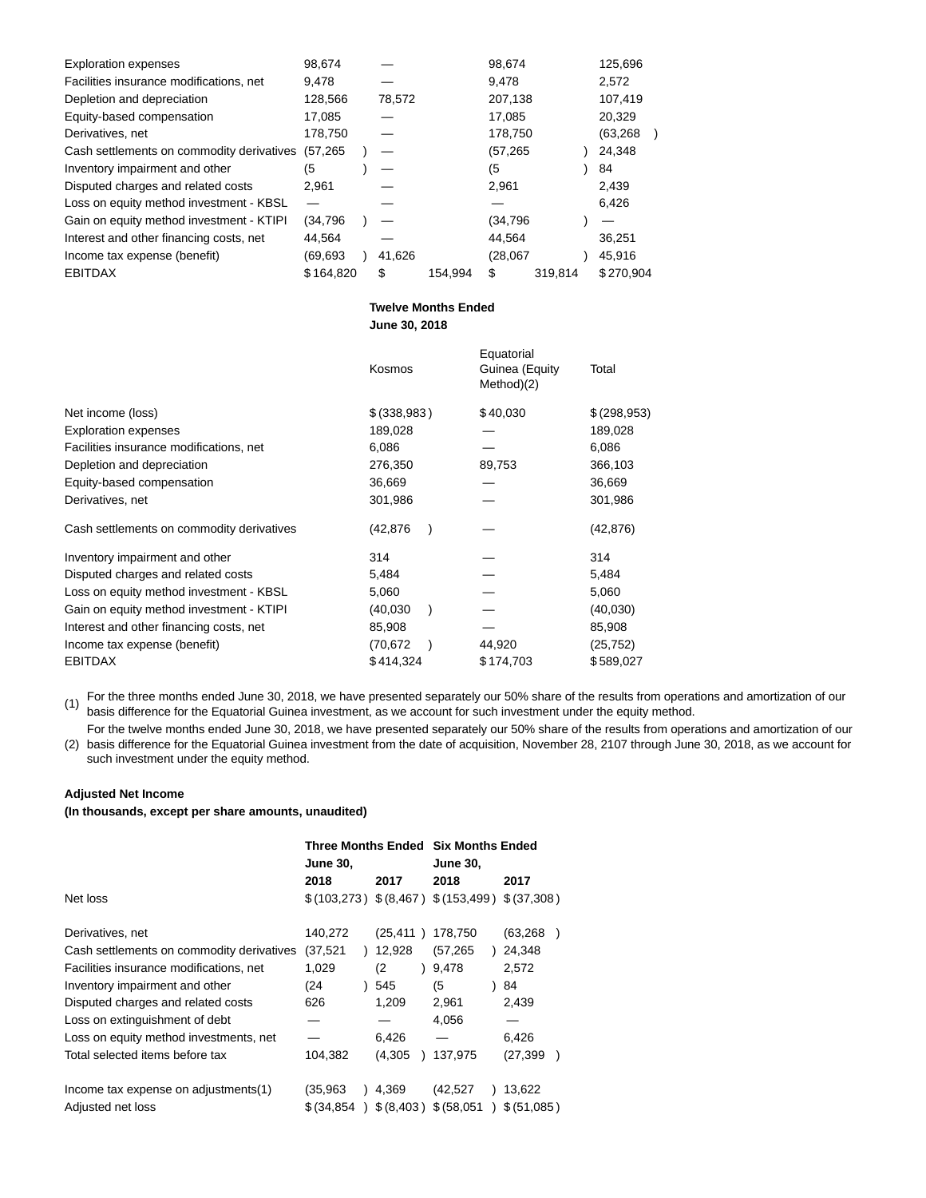| <b>Exploration expenses</b>               | 98,674    |        |         | 98,674    |         | 125,696   |  |
|-------------------------------------------|-----------|--------|---------|-----------|---------|-----------|--|
| Facilities insurance modifications, net   | 9.478     |        |         | 9,478     |         | 2,572     |  |
| Depletion and depreciation                | 128,566   | 78,572 |         | 207,138   |         | 107,419   |  |
| Equity-based compensation                 | 17,085    |        |         | 17,085    |         | 20,329    |  |
| Derivatives, net                          | 178,750   |        |         | 178,750   |         | (63, 268) |  |
| Cash settlements on commodity derivatives | (57.265)  |        |         | (57, 265) |         | 24.348    |  |
| Inventory impairment and other            | (5        |        |         | (5        |         | 84        |  |
| Disputed charges and related costs        | 2,961     |        |         | 2,961     |         | 2,439     |  |
| Loss on equity method investment - KBSL   |           |        |         |           |         | 6,426     |  |
| Gain on equity method investment - KTIPI  | (34,796   |        |         | (34,796)  |         |           |  |
| Interest and other financing costs, net   | 44,564    |        |         | 44,564    |         | 36,251    |  |
| Income tax expense (benefit)              | (69,693   | 41,626 |         | (28,067)  |         | 45,916    |  |
| <b>EBITDAX</b>                            | \$164.820 | \$     | 154.994 | \$        | 319.814 | \$270.904 |  |

# **Twelve Months Ended June 30, 2018**

|                                           | Kosmos       | Equatorial<br>Guinea (Equity<br>Method(2) | Total         |
|-------------------------------------------|--------------|-------------------------------------------|---------------|
| Net income (loss)                         | \$ (338,983) | \$40,030                                  | \$ (298, 953) |
| <b>Exploration expenses</b>               | 189,028      |                                           | 189,028       |
| Facilities insurance modifications, net   | 6,086        |                                           | 6,086         |
| Depletion and depreciation                | 276,350      | 89,753                                    | 366,103       |
| Equity-based compensation                 | 36,669       |                                           | 36,669        |
| Derivatives, net                          | 301,986      |                                           | 301,986       |
| Cash settlements on commodity derivatives | (42,876      |                                           | (42, 876)     |
| Inventory impairment and other            | 314          |                                           | 314           |
| Disputed charges and related costs        | 5,484        |                                           | 5,484         |
| Loss on equity method investment - KBSL   | 5,060        |                                           | 5,060         |
| Gain on equity method investment - KTIPI  | (40,030      |                                           | (40,030)      |
| Interest and other financing costs, net   | 85,908       |                                           | 85,908        |
| Income tax expense (benefit)              | (70,672      | 44,920                                    | (25, 752)     |
| <b>EBITDAX</b>                            | \$414,324    | \$174,703                                 | \$589,027     |
|                                           |              |                                           |               |

(1) For the three months ended June 30, 2018, we have presented separately our 50% share of the results from operations and amortization of our<br>basis difference for the Equatorial Guinea investment, as we account for such

(2) basis difference for the Equatorial Guinea investment from the date of acquisition, November 28, 2107 through June 30, 2018, as we account for For the twelve months ended June 30, 2018, we have presented separately our 50% share of the results from operations and amortization of our such investment under the equity method.

# **Adjusted Net Income**

**(In thousands, except per share amounts, unaudited)**

|                                           | Three Months Ended Six Months Ended |  |                            |                                                  |                 |                        |  |  |
|-------------------------------------------|-------------------------------------|--|----------------------------|--------------------------------------------------|-----------------|------------------------|--|--|
|                                           | <b>June 30.</b>                     |  |                            |                                                  | <b>June 30,</b> |                        |  |  |
|                                           | 2018                                |  | 2017                       | 2018                                             |                 | 2017                   |  |  |
| Net loss                                  |                                     |  |                            | $$(103,273)$ $$(8,467)$ $$(153,499)$ $$(37,308)$ |                 |                        |  |  |
| Derivatives, net                          | 140,272                             |  | (25, 411)<br>$\rightarrow$ | 178.750                                          |                 | (63, 268)<br>$\lambda$ |  |  |
| Cash settlements on commodity derivatives | (37,521                             |  | 12,928                     | (57, 265)                                        |                 | 24,348                 |  |  |
| Facilities insurance modifications, net   | 1,029                               |  | (2                         | 9,478                                            |                 | 2,572                  |  |  |
| Inventory impairment and other            | (24                                 |  | 545                        | (5                                               |                 | 84                     |  |  |
| Disputed charges and related costs        | 626                                 |  | 1,209                      | 2,961                                            |                 | 2,439                  |  |  |
| Loss on extinguishment of debt            |                                     |  |                            | 4,056                                            |                 |                        |  |  |
| Loss on equity method investments, net    |                                     |  | 6,426                      |                                                  |                 | 6,426                  |  |  |
| Total selected items before tax           | 104,382                             |  | (4, 305)                   | 137,975                                          |                 | (27, 399)<br>$\lambda$ |  |  |
| Income tax expense on adjustments(1)      | (35,963                             |  | 4,369                      | (42, 527)                                        |                 | 13,622                 |  |  |
| Adjusted net loss                         | \$ (34.854)                         |  | \$(8,403)                  | \$ (58,051)                                      |                 | \$ (51,085)            |  |  |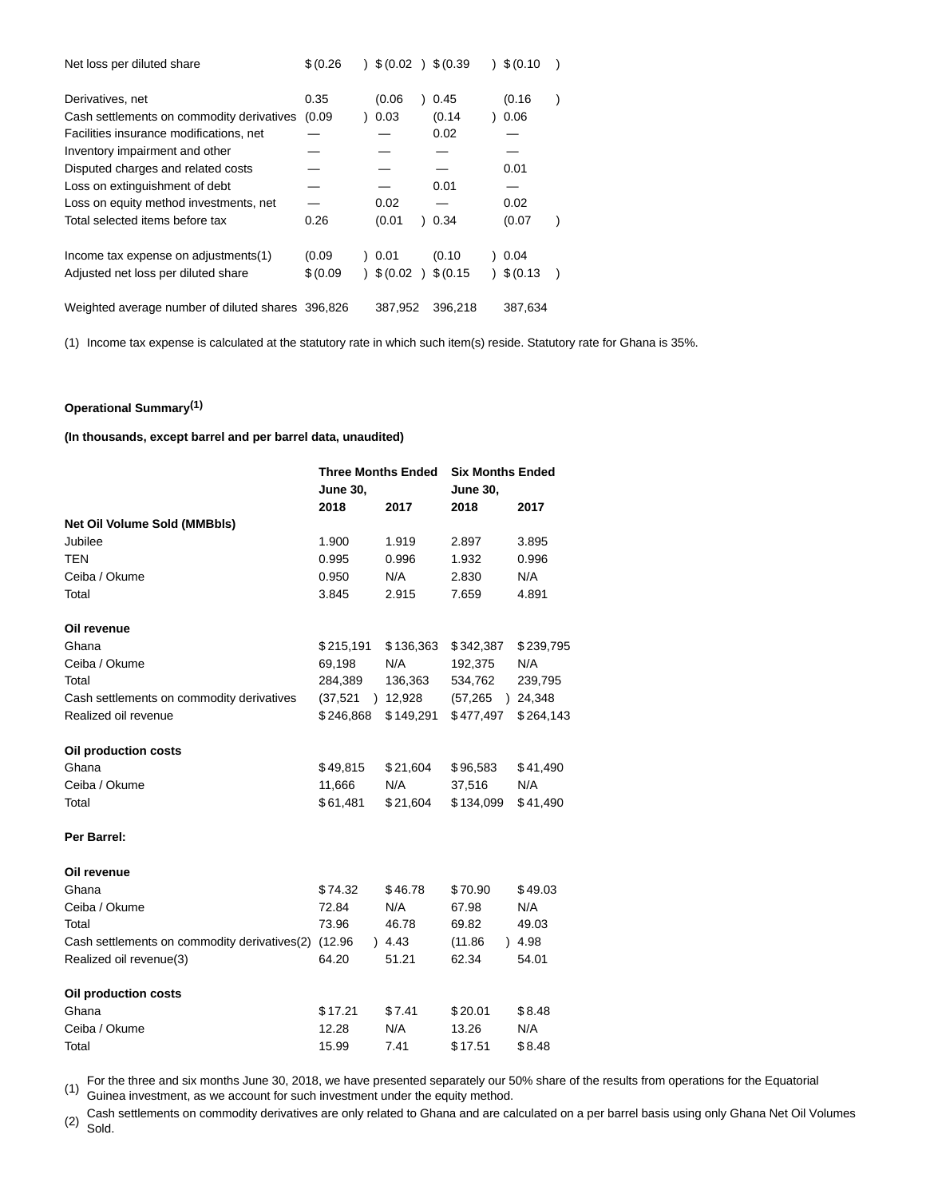| Net loss per diluted share                        | \$ (0.26) |           |           | 3(0.10       |  |
|---------------------------------------------------|-----------|-----------|-----------|--------------|--|
| Derivatives, net                                  | 0.35      | (0.06)    | 0.45      | (0.16        |  |
| Cash settlements on commodity derivatives         | (0.09)    | 0.03      | (0.14)    | 0.06         |  |
| Facilities insurance modifications, net           |           |           | 0.02      |              |  |
| Inventory impairment and other                    |           |           |           |              |  |
| Disputed charges and related costs                |           |           |           | 0.01         |  |
| Loss on extinguishment of debt                    |           |           | 0.01      |              |  |
| Loss on equity method investments, net            |           | 0.02      |           | 0.02         |  |
| Total selected items before tax                   | 0.26      | (0.01)    | 0.34      | (0.07)       |  |
| Income tax expense on adjustments(1)              | (0.09)    | 0.01      | (0.10)    | 0.04         |  |
| Adjusted net loss per diluted share               | \$ (0.09) | \$ (0.02) | \$ (0.15) | $)$ \$ (0.13 |  |
| Weighted average number of diluted shares 396,826 |           | 387,952   | 396,218   | 387,634      |  |

(1) Income tax expense is calculated at the statutory rate in which such item(s) reside. Statutory rate for Ghana is 35%.

# **Operational Summary(1)**

**(In thousands, except barrel and per barrel data, unaudited)**

|                                              | <b>Three Months Ended</b><br><b>June 30,</b> |           | <b>Six Months Ended</b><br><b>June 30,</b> |           |  |
|----------------------------------------------|----------------------------------------------|-----------|--------------------------------------------|-----------|--|
|                                              | 2018                                         | 2017      | 2018                                       | 2017      |  |
| Net Oil Volume Sold (MMBbls)                 |                                              |           |                                            |           |  |
| Jubilee                                      | 1.900                                        | 1.919     | 2.897                                      | 3.895     |  |
| <b>TEN</b>                                   | 0.995                                        | 0.996     | 1.932                                      | 0.996     |  |
| Ceiba / Okume                                | 0.950                                        | N/A       | 2.830                                      | N/A       |  |
| Total                                        | 3.845                                        | 2.915     | 7.659                                      | 4.891     |  |
| Oil revenue                                  |                                              |           |                                            |           |  |
| Ghana                                        | \$215,191                                    | \$136,363 | \$342,387                                  | \$239,795 |  |
| Ceiba / Okume                                | 69,198                                       | N/A       | 192,375                                    | N/A       |  |
| Total                                        | 284,389                                      | 136,363   | 534,762                                    | 239,795   |  |
| Cash settlements on commodity derivatives    | (37, 521)                                    | ) 12,928  | $(57,265)$ 24,348                          |           |  |
| Realized oil revenue                         | \$246,868                                    | \$149,291 | \$477,497                                  | \$264,143 |  |
| Oil production costs                         |                                              |           |                                            |           |  |
| Ghana                                        | \$49,815                                     | \$21,604  | \$96,583                                   | \$41,490  |  |
| Ceiba / Okume                                | 11,666                                       | N/A       | 37,516                                     | N/A       |  |
| Total                                        | \$61,481                                     | \$21,604  | \$134,099                                  | \$41,490  |  |
| Per Barrel:                                  |                                              |           |                                            |           |  |
| Oil revenue                                  |                                              |           |                                            |           |  |
| Ghana                                        | \$74.32                                      | \$46.78   | \$70.90                                    | \$49.03   |  |
| Ceiba / Okume                                | 72.84                                        | N/A       | 67.98                                      | N/A       |  |
| Total                                        | 73.96                                        | 46.78     | 69.82                                      | 49.03     |  |
| Cash settlements on commodity derivatives(2) | (12.96)                                      | 4.43      | (11.86)                                    | 4.98      |  |
| Realized oil revenue(3)                      | 64.20                                        | 51.21     | 62.34                                      | 54.01     |  |
| Oil production costs                         |                                              |           |                                            |           |  |
| Ghana                                        | \$17.21                                      | \$7.41    | \$20.01                                    | \$8.48    |  |
| Ceiba / Okume                                | 12.28                                        | N/A       | 13.26                                      | N/A       |  |
| Total                                        | 15.99                                        | 7.41      | \$17.51                                    | \$8.48    |  |

(1) For the three and six months June 30, 2018, we have presented separately our 50% share of the results from operations for the Equatorial Guinea investment, as we account for such investment under the equity method.

(2) Cash settlements on commodity derivatives are only related to Ghana and are calculated on a per barrel basis using only Ghana Net Oil Volumes Sold.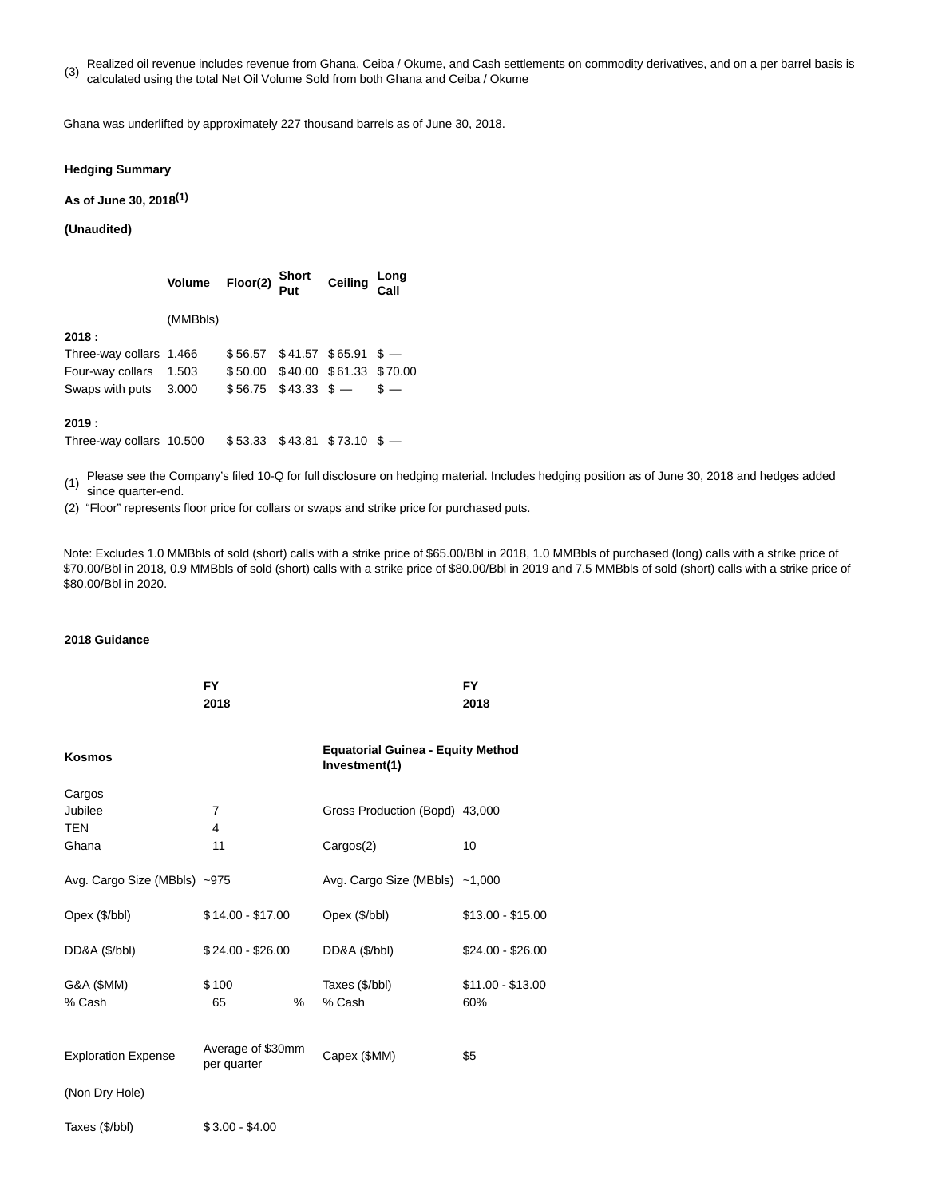(3) Realized oil revenue includes revenue from Ghana, Ceiba / Okume, and Cash settlements on commodity derivatives, and on a per barrel basis is<br>colonizated using the total Net Oil Volume Cald from both Chana and Ceiba / O calculated using the total Net Oil Volume Sold from both Ghana and Ceiba / Okume

Ghana was underlifted by approximately 227 thousand barrels as of June 30, 2018.

## **Hedging Summary**

**As of June 30, 2018(1)**

**(Unaudited)**

| Volume Floor(2) Snord |  | Ceiling Long<br>Call | Long |
|-----------------------|--|----------------------|------|
| (MMBbls)              |  |                      |      |

| Three-way collars 1.466 |  |                                                                                                |
|-------------------------|--|------------------------------------------------------------------------------------------------|
| Four-way collars 1.503  |  |                                                                                                |
| Swaps with puts 3.000   |  | $\mathbb{S}$ —                                                                                 |
|                         |  | $$56.57$ $$41.57$ $$65.91$ $$ -$<br>\$50.00 \$40.00 \$61.33 \$70.00<br>$$56.75$ $$43.33$ $$ -$ |

## **2019 :**

**2018 :**

Three-way collars 10.500 \$ 53.33 \$ 43.81 \$ 73.10 \$ —

(1) Please see the Company's filed 10-Q for full disclosure on hedging material. Includes hedging position as of June 30, 2018 and hedges added<br>
cinco quarter and since quarter-end.

(2) "Floor" represents floor price for collars or swaps and strike price for purchased puts.

Note: Excludes 1.0 MMBbls of sold (short) calls with a strike price of \$65.00/Bbl in 2018, 1.0 MMBbls of purchased (long) calls with a strike price of \$70.00/Bbl in 2018, 0.9 MMBbls of sold (short) calls with a strike price of \$80.00/Bbl in 2019 and 7.5 MMBbls of sold (short) calls with a strike price of \$80.00/Bbl in 2020.

## **2018 Guidance**

|                                              | FY<br>2018                       |                                                           |                                | <b>FY</b><br>2018 |
|----------------------------------------------|----------------------------------|-----------------------------------------------------------|--------------------------------|-------------------|
| <b>Kosmos</b>                                |                                  | <b>Equatorial Guinea - Equity Method</b><br>Investment(1) |                                |                   |
| Cargos                                       |                                  |                                                           |                                |                   |
| Jubilee                                      | $\overline{7}$                   |                                                           | Gross Production (Bopd) 43,000 |                   |
| <b>TEN</b>                                   | 4                                |                                                           |                                |                   |
| Ghana                                        | 11                               |                                                           | Cargos(2)                      | 10                |
| Avg. Cargo Size (MBbls) ~975                 |                                  |                                                           | Avg. Cargo Size (MBbls) ~1,000 |                   |
| Opex (\$/bbl)                                | $$14.00 - $17.00$                |                                                           | Opex (\$/bbl)                  | $$13.00 - $15.00$ |
| DD&A (\$/bbl)                                | $$24.00 - $26.00$                |                                                           | DD&A (\$/bbl)                  | \$24.00 - \$26.00 |
| G&A (\$MM)                                   | \$100                            |                                                           | Taxes (\$/bbl)                 | \$11.00 - \$13.00 |
| % Cash                                       | 65                               | %                                                         | % Cash                         | 60%               |
| <b>Exploration Expense</b><br>(Non Dry Hole) | Average of \$30mm<br>per quarter |                                                           | Capex (\$MM)                   | \$5               |
| Taxes (\$/bbl)                               | $$3.00 - $4.00$                  |                                                           |                                |                   |